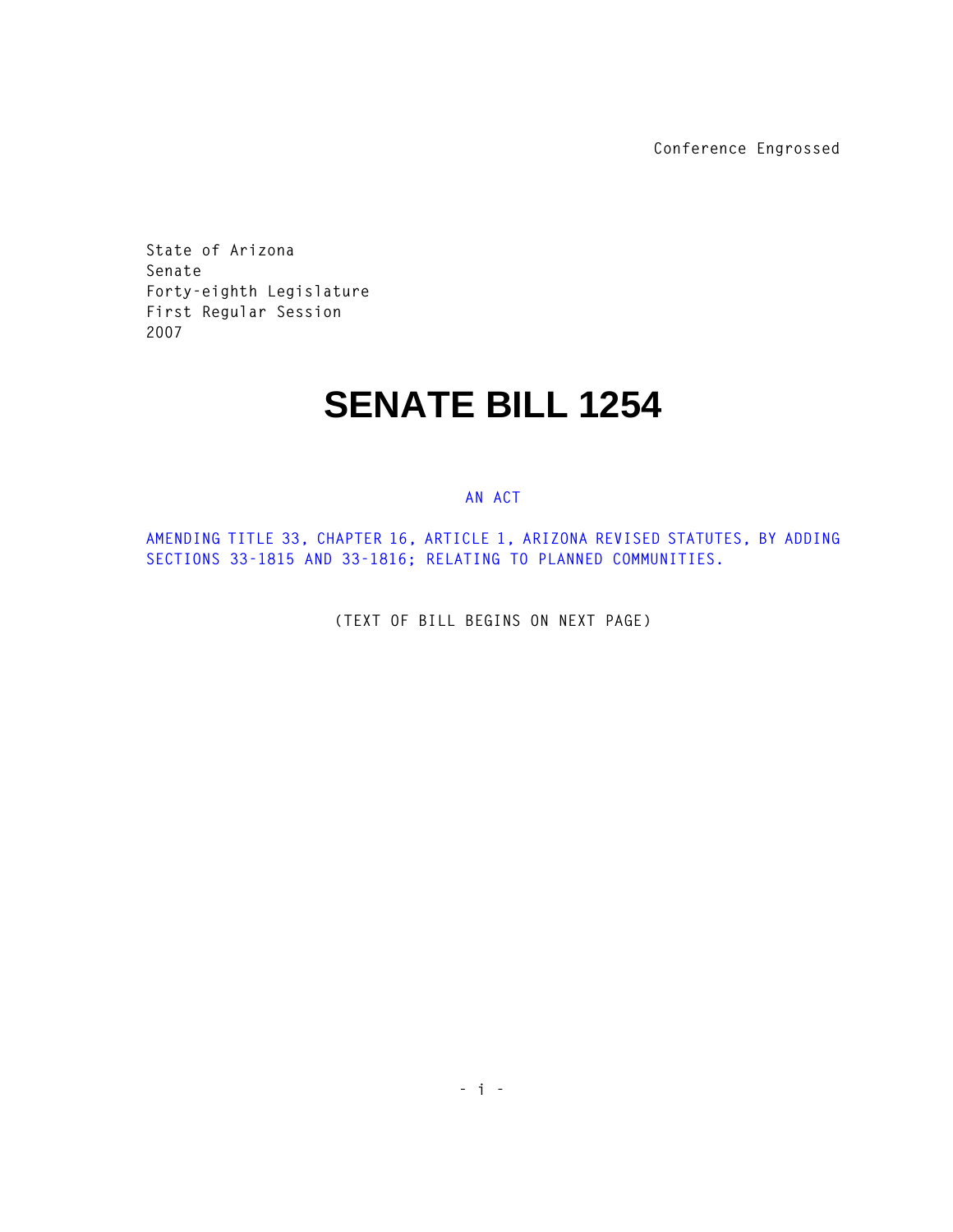**Conference Engrossed**

**State of Arizona Senate Forty-eighth Legislature First Regular Session 2007** 

## **SENATE BILL 1254**

## **AN ACT**

**AMENDING TITLE 33, CHAPTER 16, ARTICLE 1, ARIZONA REVISED STATUTES, BY ADDING SECTIONS 33-1815 AND 33-1816; RELATING TO PLANNED COMMUNITIES.** 

**(TEXT OF BILL BEGINS ON NEXT PAGE)**